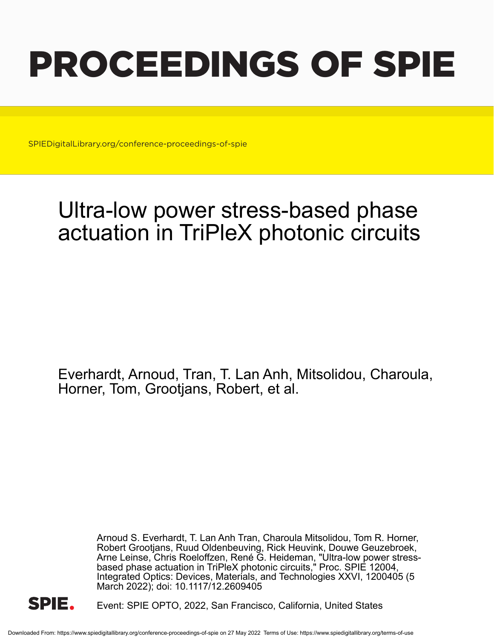# PROCEEDINGS OF SPIE

SPIEDigitalLibrary.org/conference-proceedings-of-spie

# Ultra-low power stress-based phase actuation in TriPleX photonic circuits

Everhardt, Arnoud, Tran, T. Lan Anh, Mitsolidou, Charoula, Horner, Tom, Grootjans, Robert, et al.

> Arnoud S. Everhardt, T. Lan Anh Tran, Charoula Mitsolidou, Tom R. Horner, Robert Grootjans, Ruud Oldenbeuving, Rick Heuvink, Douwe Geuzebroek, Arne Leinse, Chris Roeloffzen, René G. Heideman, "Ultra-low power stressbased phase actuation in TriPleX photonic circuits," Proc. SPIE 12004, Integrated Optics: Devices, Materials, and Technologies XXVI, 1200405 (5 March 2022); doi: 10.1117/12.2609405



Event: SPIE OPTO, 2022, San Francisco, California, United States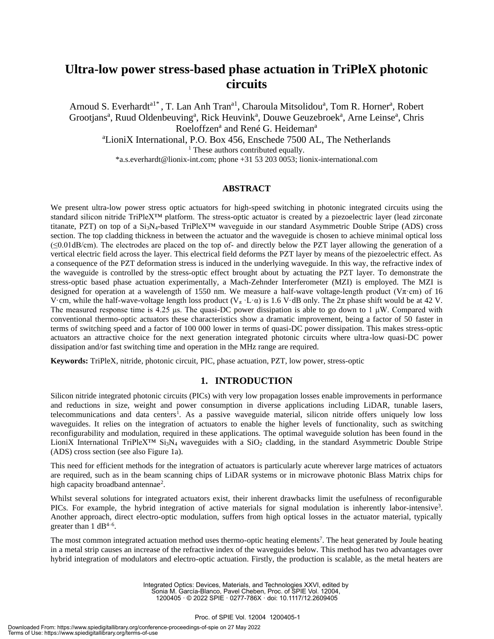# **Ultra-low power stress-based phase actuation in TriPleX photonic circuits**

Arnoud S. Everhardt<sup>a1\*</sup>, T. Lan Anh Tran<sup>a1</sup>, Charoula Mitsolidou<sup>a</sup>, Tom R. Horner<sup>a</sup>, Robert Grootjans<sup>a</sup>, Ruud Oldenbeuving<sup>a</sup>, Rick Heuvink<sup>a</sup>, Douwe Geuzebroek<sup>a</sup>, Arne Leinse<sup>a</sup>, Chris Roeloffzen<sup>a</sup> and René G. Heideman<sup>a</sup> <sup>a</sup>LioniX International, P.O. Box 456, Enschede 7500 AL, The Netherlands <sup>1</sup> These authors contributed equally. \*a.s.everhardt@lionix-int.com; phone +31 53 203 0053; lionix-international.com

### **ABSTRACT**

We present ultra-low power stress optic actuators for high-speed switching in photonic integrated circuits using the standard silicon nitride TriPleX™ platform. The stress-optic actuator is created by a piezoelectric layer (lead zirconate titanate, PZT) on top of a Si3N4-based TriPleX™ waveguide in our standard Asymmetric Double Stripe (ADS) cross section. The top cladding thickness in between the actuator and the waveguide is chosen to achieve minimal optical loss  $(\leq 0.01$ dB/cm). The electrodes are placed on the top of- and directly below the PZT layer allowing the generation of a vertical electric field across the layer. This electrical field deforms the PZT layer by means of the piezoelectric effect. As a consequence of the PZT deformation stress is induced in the underlying waveguide. In this way, the refractive index of the waveguide is controlled by the stress-optic effect brought about by actuating the PZT layer. To demonstrate the stress-optic based phase actuation experimentally, a Mach-Zehnder Interferometer (MZI) is employed. The MZI is designed for operation at a wavelength of 1550 nm. We measure a half-wave voltage-length product (V $\pi$ ·cm) of 16 V·cm, while the half-wave-voltage length loss product  $(V_\pi \cdot L \cdot \alpha)$  is 1.6 V·dB only. The  $2\pi$  phase shift would be at 42 V. The measured response time is 4.25 μs. The quasi-DC power dissipation is able to go down to 1 μW. Compared with conventional thermo-optic actuators these characteristics show a dramatic improvement, being a factor of 50 faster in terms of switching speed and a factor of 100 000 lower in terms of quasi-DC power dissipation. This makes stress-optic actuators an attractive choice for the next generation integrated photonic circuits where ultra-low quasi-DC power dissipation and/or fast switching time and operation in the MHz range are required.

**Keywords:** TriPleX, nitride, photonic circuit, PIC, phase actuation, PZT, low power, stress-optic

## **1. INTRODUCTION**

Silicon nitride integrated photonic circuits (PICs) with very low propagation losses enable improvements in performance and reductions in size, weight and power consumption in diverse applications including LiDAR, tunable lasers, telecommunications and data centers<sup>1</sup>. As a passive waveguide material, silicon nitride offers uniquely low loss waveguides. It relies on the integration of actuators to enable the higher levels of functionality, such as switching reconfigurability and modulation, required in these applications. The optimal waveguide solution has been found in the LioniX International TriPleX™ Si3N<sup>4</sup> waveguides with a SiO<sup>2</sup> cladding, in the standard Asymmetric Double Stripe (ADS) cross section (see also Figure 1a).

This need for efficient methods for the integration of actuators is particularly acute wherever large matrices of actuators are required, such as in the beam scanning chips of LiDAR systems or in microwave photonic Blass Matrix chips for high capacity broadband antennae<sup>2</sup>.

Whilst several solutions for integrated actuators exist, their inherent drawbacks limit the usefulness of reconfigurable PICs. For example, the hybrid integration of active materials for signal modulation is inherently labor-intensive<sup>3</sup>. Another approach, direct electro-optic modulation, suffers from high optical losses in the actuator material, typically greater than  $1 \text{ dB}^{4-6}$ .

The most common integrated actuation method uses thermo-optic heating elements<sup>7</sup>. The heat generated by Joule heating in a metal strip causes an increase of the refractive index of the waveguides below. This method has two advantages over hybrid integration of modulators and electro-optic actuation. Firstly, the production is scalable, as the metal heaters are

> Integrated Optics: Devices, Materials, and Technologies XXVI, edited by Sonia M. García-Blanco, Pavel Cheben, Proc. of SPIE Vol. 12004, 1200405 · © 2022 SPIE · 0277-786X · doi: 10.1117/12.2609405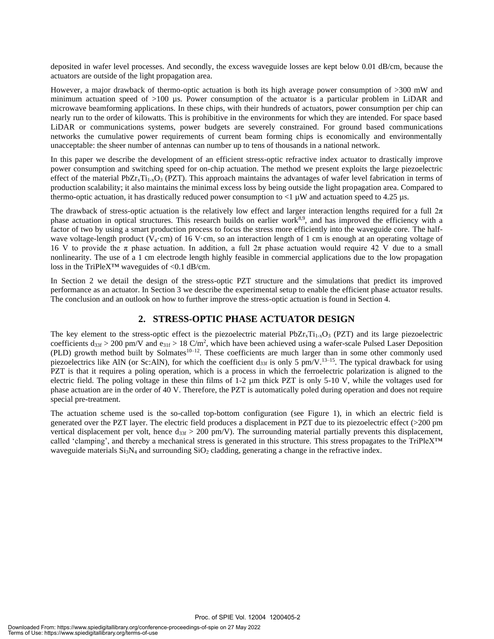deposited in wafer level processes. And secondly, the excess waveguide losses are kept below 0.01 dB/cm, because the actuators are outside of the light propagation area.

However, a major drawback of thermo-optic actuation is both its high average power consumption of >300 mW and minimum actuation speed of >100 µs. Power consumption of the actuator is a particular problem in LiDAR and microwave beamforming applications. In these chips, with their hundreds of actuators, power consumption per chip can nearly run to the order of kilowatts. This is prohibitive in the environments for which they are intended. For space based LiDAR or communications systems, power budgets are severely constrained. For ground based communications networks the cumulative power requirements of current beam forming chips is economically and environmentally unacceptable: the sheer number of antennas can number up to tens of thousands in a national network.

In this paper we describe the development of an efficient stress-optic refractive index actuator to drastically improve power consumption and switching speed for on-chip actuation. The method we present exploits the large piezoelectric effect of the material PbZr<sub>x</sub>Ti<sub>1-x</sub>O<sub>3</sub> (PZT). This approach maintains the advantages of wafer level fabrication in terms of production scalability; it also maintains the minimal excess loss by being outside the light propagation area. Compared to thermo-optic actuation, it has drastically reduced power consumption to  $\langle 1 \mu W \rangle$  and actuation speed to 4.25 µs.

The drawback of stress-optic actuation is the relatively low effect and larger interaction lengths required for a full  $2\pi$ phase actuation in optical structures. This research builds on earlier work<sup>8,9</sup>, and has improved the efficiency with a factor of two by using a smart production process to focus the stress more efficiently into the waveguide core. The halfwave voltage-length product ( $V_{\pi}$ ·cm) of 16 V·cm, so an interaction length of 1 cm is enough at an operating voltage of 16 V to provide the π phase actuation. In addition, a full  $2π$  phase actuation would require 42 V due to a small nonlinearity. The use of a 1 cm electrode length highly feasible in commercial applications due to the low propagation loss in the TriPleX™ waveguides of <0.1 dB/cm.

In Section 2 we detail the design of the stress-optic PZT structure and the simulations that predict its improved performance as an actuator. In Section 3 we describe the experimental setup to enable the efficient phase actuator results. The conclusion and an outlook on how to further improve the stress-optic actuation is found in Section 4.

# **2. STRESS-OPTIC PHASE ACTUATOR DESIGN**

The key element to the stress-optic effect is the piezoelectric material  $PbZr<sub>x</sub>Ti<sub>1-x</sub>O<sub>3</sub>$  (PZT) and its large piezoelectric coefficients  $d_{33f} > 200$  pm/V and  $e_{31f} > 18$  C/m<sup>2</sup>, which have been achieved using a wafer-scale Pulsed Laser Deposition (PLD) growth method built by Solmates<sup>10-12</sup>. These coefficients are much larger than in some other commonly used piezoelectrics like AlN (or Sc:AlN), for which the coefficient  $d_{33f}$  is only 5 pm/V.<sup>13–15</sup>. The typical drawback for using PZT is that it requires a poling operation, which is a process in which the ferroelectric polarization is aligned to the electric field. The poling voltage in these thin films of 1-2 µm thick PZT is only 5-10 V, while the voltages used for phase actuation are in the order of 40 V. Therefore, the PZT is automatically poled during operation and does not require special pre-treatment.

The actuation scheme used is the so-called top-bottom configuration (see Figure 1), in which an electric field is generated over the PZT layer. The electric field produces a displacement in PZT due to its piezoelectric effect (>200 pm vertical displacement per volt, hence  $d_{33f} > 200$  pm/V). The surrounding material partially prevents this displacement, called 'clamping', and thereby a mechanical stress is generated in this structure. This stress propagates to the TriPleX™ waveguide materials  $Si<sub>3</sub>N<sub>4</sub>$  and surrounding  $SiO<sub>2</sub>$  cladding, generating a change in the refractive index.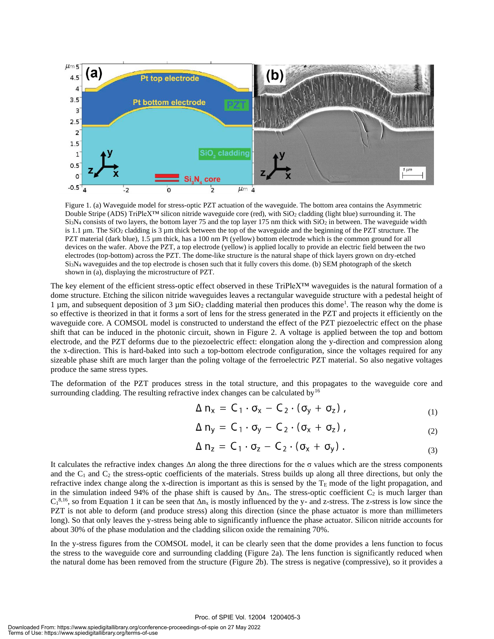

Figure 1. (a) Waveguide model for stress-optic PZT actuation of the waveguide. The bottom area contains the Asymmetric Double Stripe (ADS) TriPleX™ silicon nitride waveguide core (red), with SiO2 cladding (light blue) surrounding it. The  $Si<sub>3</sub>N<sub>4</sub>$  consists of two layers, the bottom layer 75 and the top layer 175 nm thick with  $SiO<sub>2</sub>$  in between. The waveguide width is 1.1  $\mu$ m. The SiO<sub>2</sub> cladding is 3  $\mu$ m thick between the top of the waveguide and the beginning of the PZT structure. The PZT material (dark blue), 1.5 µm thick, has a 100 nm Pt (yellow) bottom electrode which is the common ground for all devices on the wafer. Above the PZT, a top electrode (yellow) is applied locally to provide an electric field between the two electrodes (top-bottom) across the PZT. The dome-like structure is the natural shape of thick layers grown on dry-etched Si3N<sup>4</sup> waveguides and the top electrode is chosen such that it fully covers this dome. (b) SEM photograph of the sketch shown in (a), displaying the microstructure of PZT.

The key element of the efficient stress-optic effect observed in these TriPleX™ waveguides is the natural formation of a dome structure. Etching the silicon nitride waveguides leaves a rectangular waveguide structure with a pedestal height of 1  $\mu$ m, and subsequent deposition of 3  $\mu$ m SiO<sub>2</sub> cladding material then produces this dome<sup>1</sup>. The reason why the dome is so effective is theorized in that it forms a sort of lens for the stress generated in the PZT and projects it efficiently on the waveguide core. A COMSOL model is constructed to understand the effect of the PZT piezoelectric effect on the phase shift that can be induced in the photonic circuit, shown in Figure 2. A voltage is applied between the top and bottom electrode, and the PZT deforms due to the piezoelectric effect: elongation along the y-direction and compression along the x-direction. This is hard-baked into such a top-bottom electrode configuration, since the voltages required for any sizeable phase shift are much larger than the poling voltage of the ferroelectric PZT material. So also negative voltages produce the same stress types.

The deformation of the PZT produces stress in the total structure, and this propagates to the waveguide core and surrounding cladding. The resulting refractive index changes can be calculated by<sup>16</sup>

$$
\Delta n_x = C_1 \cdot \sigma_x - C_2 \cdot (\sigma_y + \sigma_z), \qquad (1)
$$

$$
\Delta n_y = C_1 \cdot \sigma_y - C_2 \cdot (\sigma_x + \sigma_z), \qquad (2)
$$

$$
\Delta n_z = C_1 \cdot \sigma_z - C_2 \cdot (\sigma_x + \sigma_y) \ . \tag{3}
$$

It calculates the refractive index changes Δ*n* along the three directions for the σ values which are the stress components and the  $C_1$  and  $C_2$  the stress-optic coefficients of the materials. Stress builds up along all three directions, but only the refractive index change along the x-direction is important as this is sensed by the  $T<sub>E</sub>$  mode of the light propagation, and in the simulation indeed 94% of the phase shift is caused by  $\Delta n_x$ . The stress-optic coefficient  $C_2$  is much larger than  $C_1^{8,16}$ , so from Equation 1 it can be seen that  $\Delta n_x$  is mostly influenced by the y- and z-stress. The z-stress is low since the PZT is not able to deform (and produce stress) along this direction (since the phase actuator is more than millimeters long). So that only leaves the y-stress being able to significantly influence the phase actuator. Silicon nitride accounts for about 30% of the phase modulation and the cladding silicon oxide the remaining 70%.

In the y-stress figures from the COMSOL model, it can be clearly seen that the dome provides a lens function to focus the stress to the waveguide core and surrounding cladding (Figure 2a). The lens function is significantly reduced when the natural dome has been removed from the structure (Figure 2b). The stress is negative (compressive), so it provides a

#### Proc. of SPIE Vol. 12004 1200405-3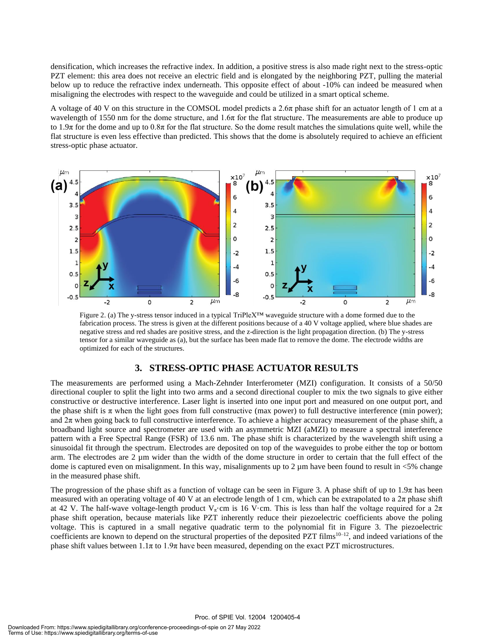densification, which increases the refractive index. In addition, a positive stress is also made right next to the stress-optic PZT element: this area does not receive an electric field and is elongated by the neighboring PZT, pulling the material below up to reduce the refractive index underneath. This opposite effect of about -10% can indeed be measured when misaligning the electrodes with respect to the waveguide and could be utilized in a smart optical scheme.

A voltage of 40 V on this structure in the COMSOL model predicts a  $2.6\pi$  phase shift for an actuator length of 1 cm at a wavelength of 1550 nm for the dome structure, and 1.6π for the flat structure. The measurements are able to produce up to 1.9π for the dome and up to  $0.8\pi$  for the flat structure. So the dome result matches the simulations quite well, while the flat structure is even less effective than predicted. This shows that the dome is absolutely required to achieve an efficient stress-optic phase actuator.



Figure 2. (a) The y-stress tensor induced in a typical TriPleX™ waveguide structure with a dome formed due to the fabrication process. The stress is given at the different positions because of a 40 V voltage applied, where blue shades are negative stress and red shades are positive stress, and the z-direction is the light propagation direction. (b) The y-stress tensor for a similar waveguide as (a), but the surface has been made flat to remove the dome. The electrode widths are optimized for each of the structures.

# **3. STRESS-OPTIC PHASE ACTUATOR RESULTS**

The measurements are performed using a Mach-Zehnder Interferometer (MZI) configuration. It consists of a 50/50 directional coupler to split the light into two arms and a second directional coupler to mix the two signals to give either constructive or destructive interference. Laser light is inserted into one input port and measured on one output port, and the phase shift is  $\pi$  when the light goes from full constructive (max power) to full destructive interference (min power); and  $2\pi$  when going back to full constructive interference. To achieve a higher accuracy measurement of the phase shift, a broadband light source and spectrometer are used with an asymmetric MZI (aMZI) to measure a spectral interference pattern with a Free Spectral Range (FSR) of 13.6 nm. The phase shift is characterized by the wavelength shift using a sinusoidal fit through the spectrum. Electrodes are deposited on top of the waveguides to probe either the top or bottom arm. The electrodes are  $2 \mu m$  wider than the width of the dome structure in order to certain that the full effect of the dome is captured even on misalignment. In this way, misalignments up to  $2 \mu$ m have been found to result in <5% change in the measured phase shift.

The progression of the phase shift as a function of voltage can be seen in Figure 3. A phase shift of up to 1.9π has been measured with an operating voltage of 40 V at an electrode length of 1 cm, which can be extrapolated to a  $2\pi$  phase shift at 42 V. The half-wave voltage-length product V<sub>π</sub>·cm is 16 V·cm. This is less than half the voltage required for a  $2\pi$ phase shift operation, because materials like PZT inherently reduce their piezoelectric coefficients above the poling voltage. This is captured in a small negative quadratic term to the polynomial fit in Figure 3. The piezoelectric coefficients are known to depend on the structural properties of the deposited PZT films<sup>10–12</sup>, and indeed variations of the phase shift values between  $1.1\pi$  to  $1.9\pi$  have been measured, depending on the exact PZT microstructures.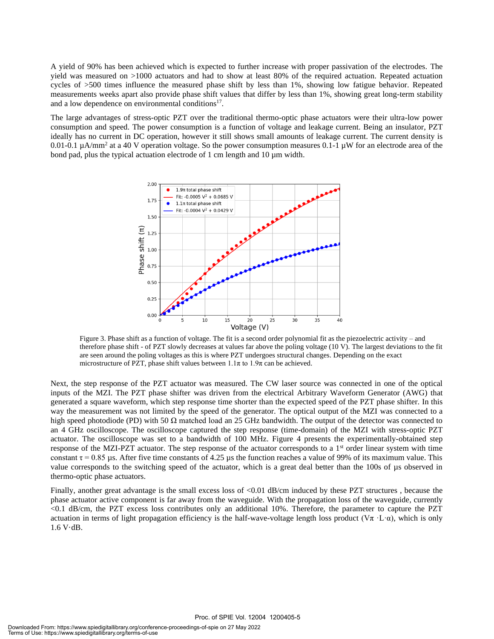A yield of 90% has been achieved which is expected to further increase with proper passivation of the electrodes. The yield was measured on >1000 actuators and had to show at least 80% of the required actuation. Repeated actuation cycles of >500 times influence the measured phase shift by less than 1%, showing low fatigue behavior. Repeated measurements weeks apart also provide phase shift values that differ by less than 1%, showing great long-term stability and a low dependence on environmental conditions<sup>17</sup>.

The large advantages of stress-optic PZT over the traditional thermo-optic phase actuators were their ultra-low power consumption and speed. The power consumption is a function of voltage and leakage current. Being an insulator, PZT ideally has no current in DC operation, however it still shows small amounts of leakage current. The current density is 0.01-0.1 µA/mm<sup>2</sup> at a 40 V operation voltage. So the power consumption measures 0.1-1 µW for an electrode area of the bond pad, plus the typical actuation electrode of 1 cm length and 10 µm width.



Figure 3. Phase shift as a function of voltage. The fit is a second order polynomial fit as the piezoelectric activity – and therefore phase shift - of PZT slowly decreases at values far above the poling voltage (10 V). The largest deviations to the fit are seen around the poling voltages as this is where PZT undergoes structural changes. Depending on the exact microstructure of PZT, phase shift values between  $1.1\pi$  to  $1.9\pi$  can be achieved.

Next, the step response of the PZT actuator was measured. The CW laser source was connected in one of the optical inputs of the MZI. The PZT phase shifter was driven from the electrical Arbitrary Waveform Generator (AWG) that generated a square waveform, which step response time shorter than the expected speed of the PZT phase shifter. In this way the measurement was not limited by the speed of the generator. The optical output of the MZI was connected to a high speed photodiode (PD) with 50  $\Omega$  matched load an 25 GHz bandwidth. The output of the detector was connected to an 4 GHz oscilloscope. The oscilloscope captured the step response (time-domain) of the MZI with stress-optic PZT actuator. The oscilloscope was set to a bandwidth of 100 MHz. Figure 4 presents the experimentally-obtained step response of the MZI-PZT actuator. The step response of the actuator corresponds to a  $1<sup>st</sup>$  order linear system with time constant  $\tau$  = 0.85 µs. After five time constants of 4.25 µs the function reaches a value of 99% of its maximum value. This value corresponds to the switching speed of the actuator, which is a great deal better than the 100s of  $\mu$ s observed in thermo-optic phase actuators.

Finally, another great advantage is the small excess loss of <0.01 dB/cm induced by these PZT structures, because the phase actuator active component is far away from the waveguide. With the propagation loss of the waveguide, currently <0.1 dB/cm, the PZT excess loss contributes only an additional 10%. Therefore, the parameter to capture the PZT actuation in terms of light propagation efficiency is the half-wave-voltage length loss product ( $V\pi \cdot L \cdot \alpha$ ), which is only 1.6 V·dB.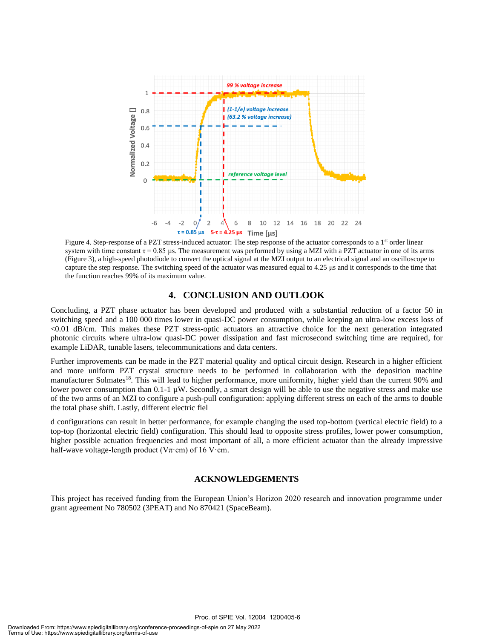

Figure 4. Step-response of a PZT stress-induced actuator: The step response of the actuator corresponds to a 1<sup>st</sup> order linear system with time constant  $\tau = 0.85 \mu s$ . The measurement was performed by using a MZI with a PZT actuator in one of its arms (Figure 3), a high-speed photodiode to convert the optical signal at the MZI output to an electrical signal and an oscilloscope to capture the step response. The switching speed of the actuator was measured equal to 4.25 μs and it corresponds to the time that the function reaches 99% of its maximum value.

# **4. CONCLUSION AND OUTLOOK**

Concluding, a PZT phase actuator has been developed and produced with a substantial reduction of a factor 50 in switching speed and a 100 000 times lower in quasi-DC power consumption, while keeping an ultra-low excess loss of <0.01 dB/cm. This makes these PZT stress-optic actuators an attractive choice for the next generation integrated photonic circuits where ultra-low quasi-DC power dissipation and fast microsecond switching time are required, for example LiDAR, tunable lasers, telecommunications and data centers.

Further improvements can be made in the PZT material quality and optical circuit design. Research in a higher efficient and more uniform PZT crystal structure needs to be performed in collaboration with the deposition machine manufacturer Solmates<sup>18</sup>. This will lead to higher performance, more uniformity, higher yield than the current 90% and lower power consumption than  $0.1-1 \mu W$ . Secondly, a smart design will be able to use the negative stress and make use of the two arms of an MZI to configure a push-pull configuration: applying different stress on each of the arms to double the total phase shift. Lastly, different electric fiel

d configurations can result in better performance, for example changing the used top-bottom (vertical electric field) to a top-top (horizontal electric field) configuration. This should lead to opposite stress profiles, lower power consumption, higher possible actuation frequencies and most important of all, a more efficient actuator than the already impressive half-wave voltage-length product ( $\nabla \pi$ ·cm) of 16 V·cm.

# **ACKNOWLEDGEMENTS**

This project has received funding from the European Union's Horizon 2020 research and innovation programme under grant agreement No 780502 (3PEAT) and No 870421 (SpaceBeam).

Proc. of SPIE Vol. 12004 1200405-6